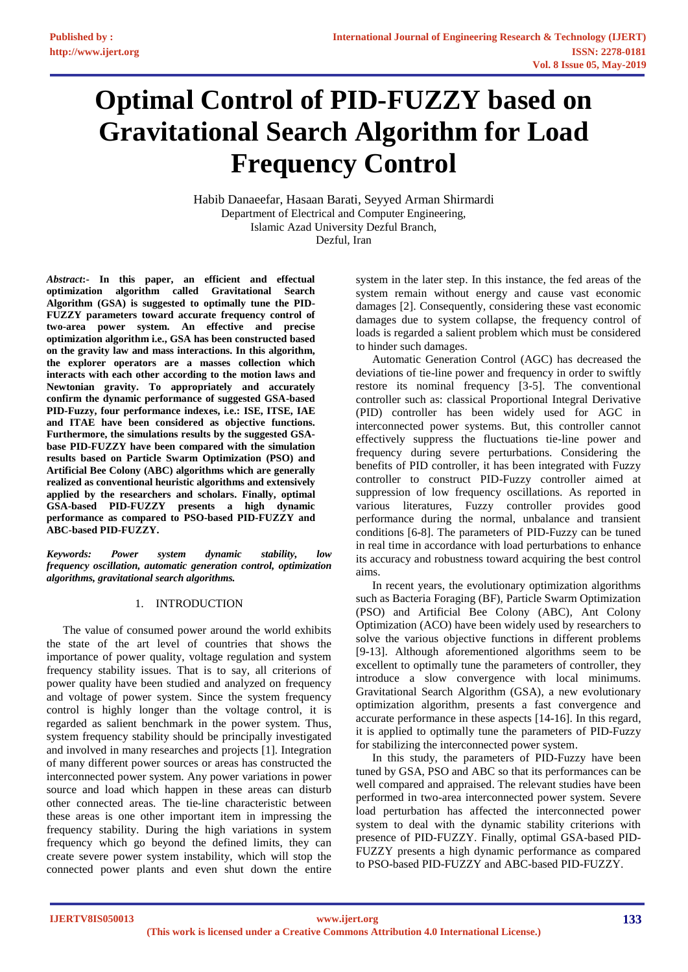# **Optimal Control of PID-FUZZY based on Gravitational Search Algorithm for Load Frequency Control**

Habib Danaeefar, Hasaan Barati, Seyyed Arman Shirmardi Department of Electrical and Computer Engineering, Islamic Azad University Dezful Branch, Dezful, Iran

*Abstract***:- In this paper, an efficient and effectual optimization algorithm called Gravitational Search Algorithm (GSA) is suggested to optimally tune the PID-FUZZY parameters toward accurate frequency control of two-area power system. An effective and precise optimization algorithm i.e., GSA has been constructed based on the gravity law and mass interactions. In this algorithm, the explorer operators are a masses collection which interacts with each other according to the motion laws and Newtonian gravity. To appropriately and accurately confirm the dynamic performance of suggested GSA-based PID-Fuzzy, four performance indexes, i.e.: ISE, ITSE, IAE and ITAE have been considered as objective functions. Furthermore, the simulations results by the suggested GSAbase PID-FUZZY have been compared with the simulation results based on Particle Swarm Optimization (PSO) and Artificial Bee Colony (ABC) algorithms which are generally realized as conventional heuristic algorithms and extensively applied by the researchers and scholars. Finally, optimal GSA-based PID-FUZZY presents a high dynamic performance as compared to PSO-based PID-FUZZY and ABC-based PID-FUZZY.** 

*Keywords: Power system dynamic stability, low frequency oscillation, automatic generation control, optimization algorithms, gravitational search algorithms.* 

# 1. INTRODUCTION

The value of consumed power around the world exhibits the state of the art level of countries that shows the importance of power quality, voltage regulation and system frequency stability issues. That is to say, all criterions of power quality have been studied and analyzed on frequency and voltage of power system. Since the system frequency control is highly longer than the voltage control, it is regarded as salient benchmark in the power system. Thus, system frequency stability should be principally investigated and involved in many researches and projects [1]. Integration of many different power sources or areas has constructed the interconnected power system. Any power variations in power source and load which happen in these areas can disturb other connected areas. The tie-line characteristic between these areas is one other important item in impressing the frequency stability. During the high variations in system frequency which go beyond the defined limits, they can create severe power system instability, which will stop the connected power plants and even shut down the entire

system in the later step. In this instance, the fed areas of the system remain without energy and cause vast economic damages [2]. Consequently, considering these vast economic damages due to system collapse, the frequency control of loads is regarded a salient problem which must be considered to hinder such damages.

Automatic Generation Control (AGC) has decreased the deviations of tie-line power and frequency in order to swiftly restore its nominal frequency [3-5]. The conventional controller such as: classical Proportional Integral Derivative (PID) controller has been widely used for AGC in interconnected power systems. But, this controller cannot effectively suppress the fluctuations tie-line power and frequency during severe perturbations. Considering the benefits of PID controller, it has been integrated with Fuzzy controller to construct PID-Fuzzy controller aimed at suppression of low frequency oscillations. As reported in various literatures, Fuzzy controller provides good performance during the normal, unbalance and transient conditions [6-8]. The parameters of PID-Fuzzy can be tuned in real time in accordance with load perturbations to enhance its accuracy and robustness toward acquiring the best control aims.

In recent years, the evolutionary optimization algorithms such as Bacteria Foraging (BF), Particle Swarm Optimization (PSO) and Artificial Bee Colony (ABC), Ant Colony Optimization (ACO) have been widely used by researchers to solve the various objective functions in different problems [9-13]. Although aforementioned algorithms seem to be excellent to optimally tune the parameters of controller, they introduce a slow convergence with local minimums. Gravitational Search Algorithm (GSA), a new evolutionary optimization algorithm, presents a fast convergence and accurate performance in these aspects [14-16]. In this regard, it is applied to optimally tune the parameters of PID-Fuzzy for stabilizing the interconnected power system.

In this study, the parameters of PID-Fuzzy have been tuned by GSA, PSO and ABC so that its performances can be well compared and appraised. The relevant studies have been performed in two-area interconnected power system. Severe load perturbation has affected the interconnected power system to deal with the dynamic stability criterions with presence of PID-FUZZY. Finally, optimal GSA-based PID-FUZZY presents a high dynamic performance as compared to PSO-based PID-FUZZY and ABC-based PID-FUZZY.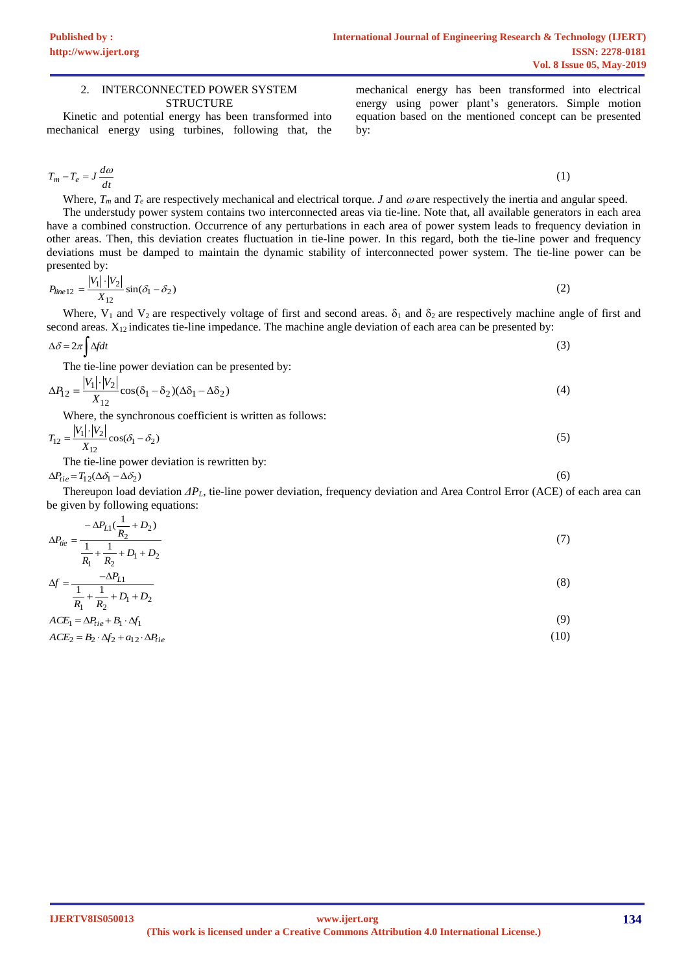#### 2. INTERCONNECTED POWER SYSTEM **STRUCTURE**

Kinetic and potential energy has been transformed into mechanical energy using turbines, following that, the mechanical energy has been transformed into electrical energy using power plant's generators. Simple motion equation based on the mentioned concept can be presented by:

(6)

$$
T_m - T_e = J \frac{d\omega}{dt} \tag{1}
$$

Where,  $T_m$  and  $T_e$  are respectively mechanical and electrical torque. *J* and  $\omega$  are respectively the inertia and angular speed. The understudy power system contains two interconnected areas via tie-line. Note that, all available generators in each area have a combined construction. Occurrence of any perturbations in each area of power system leads to frequency deviation in other areas. Then, this deviation creates fluctuation in tie-line power. In this regard, both the tie-line power and frequency deviations must be damped to maintain the dynamic stability of interconnected power system. The tie-line power can be presented by:

$$
P_{line 12} = \frac{|V_1| \cdot |V_2|}{X_{12}} \sin(\delta_1 - \delta_2)
$$
 (2)

Where, V<sub>1</sub> and V<sub>2</sub> are respectively voltage of first and second areas.  $\delta_1$  and  $\delta_2$  are respectively machine angle of first and second areas.  $X_{12}$  indicates tie-line impedance. The machine angle deviation of each area can be presented by:

$$
\Delta \delta = 2\pi \int \Delta f dt \tag{3}
$$

The tie-line power deviation can be presented by:

$$
\Delta P_{12} = \frac{|V_1| \cdot |V_2|}{X_{12}} \cos(\delta_1 - \delta_2)(\Delta \delta_1 - \Delta \delta_2)
$$
\n<sup>(4)</sup>

Where, the synchronous coefficient is written as follows:

$$
T_{12} = \frac{|V_1| \cdot |V_2|}{X_{12}} \cos(\delta_1 - \delta_2)
$$
 (5)

The tie-line power deviation is rewritten by:

 $\Delta P_{tie} = T_{12} (\Delta \delta_1 - \Delta \delta_2)$ 

Thereupon load deviation *ΔPL*, tie-line power deviation, frequency deviation and Area Control Error (ACE) of each area can be given by following equations:

$$
\Delta P_{tie} = \frac{-\Delta P_{L1}(\frac{1}{R_2} + D_2)}{\frac{1}{R_1} + \frac{1}{R_2} + D_1 + D_2} \tag{7}
$$

$$
\Delta f = \frac{-\Delta P_{L1}}{\frac{1}{R_1} + \frac{1}{R_2} + D_1 + D_2} \tag{8}
$$

$$
ACE1 = \Delta P_{tie} + B_1 \cdot \Delta f_1
$$
\n
$$
4 \cdot \Delta T = \Delta P_{tie} + B_1 \cdot \Delta f_1
$$
\n(9)

$$
ACE2 = B2 \cdot \Delta f2 + a12 \cdot \Delta Ptie
$$
 (10)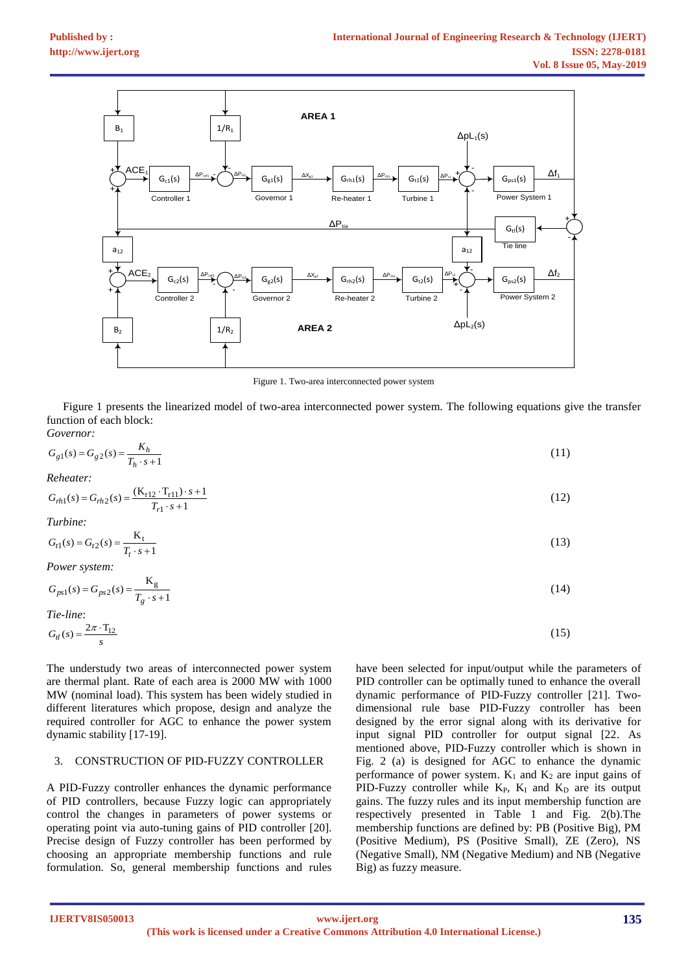

Figure 1. Two-area interconnected power system

Figure 1 presents the linearized model of two-area interconnected power system. The following equations give the transfer function of each block: *Governor:*

$$
G_{g1}(s) = G_{g2}(s) = \frac{K_h}{T_h \cdot s + 1} \tag{11}
$$

*Reheater:*

$$
G_{rh1}(s) = G_{rh2}(s) = \frac{(K_{r12} \cdot T_{r11}) \cdot s + 1}{T_{r1} \cdot s + 1}
$$
\n(12)

*Turbine:*

$$
G_{t1}(s) = G_{t2}(s) = \frac{K_t}{T_t \cdot s + 1}
$$
\n(13)

*Power system:*

$$
G_{ps1}(s) = G_{ps2}(s) = \frac{\mathbf{K}_g}{T_g \cdot s + 1} \tag{14}
$$

*Tie-line*:

$$
G_{tl}(s) = \frac{2\pi \cdot T_{12}}{s}
$$

The understudy two areas of interconnected power system are thermal plant. Rate of each area is 2000 MW with 1000 MW (nominal load). This system has been widely studied in different literatures which propose, design and analyze the required controller for AGC to enhance the power system dynamic stability [17-19].

# 3. CONSTRUCTION OF PID-FUZZY CONTROLLER

A PID-Fuzzy controller enhances the dynamic performance of PID controllers, because Fuzzy logic can appropriately control the changes in parameters of power systems or operating point via auto-tuning gains of PID controller [20]. Precise design of Fuzzy controller has been performed by choosing an appropriate membership functions and rule formulation. So, general membership functions and rules have been selected for input/output while the parameters of PID controller can be optimally tuned to enhance the overall dynamic performance of PID-Fuzzy controller [21]. Twodimensional rule base PID-Fuzzy controller has been designed by the error signal along with its derivative for input signal PID controller for output signal [22. As mentioned above, PID-Fuzzy controller which is shown in Fig. 2 (a) is designed for AGC to enhance the dynamic performance of power system.  $K_1$  and  $K_2$  are input gains of PID-Fuzzy controller while  $K_{P}$ ,  $K_{I}$  and  $K_{D}$  are its output gains. The fuzzy rules and its input membership function are respectively presented in Table 1 and Fig. 2(b).The membership functions are defined by: PB (Positive Big), PM (Positive Medium), PS (Positive Small), ZE (Zero), NS (Negative Small), NM (Negative Medium) and NB (Negative Big) as fuzzy measure.

 $(15)$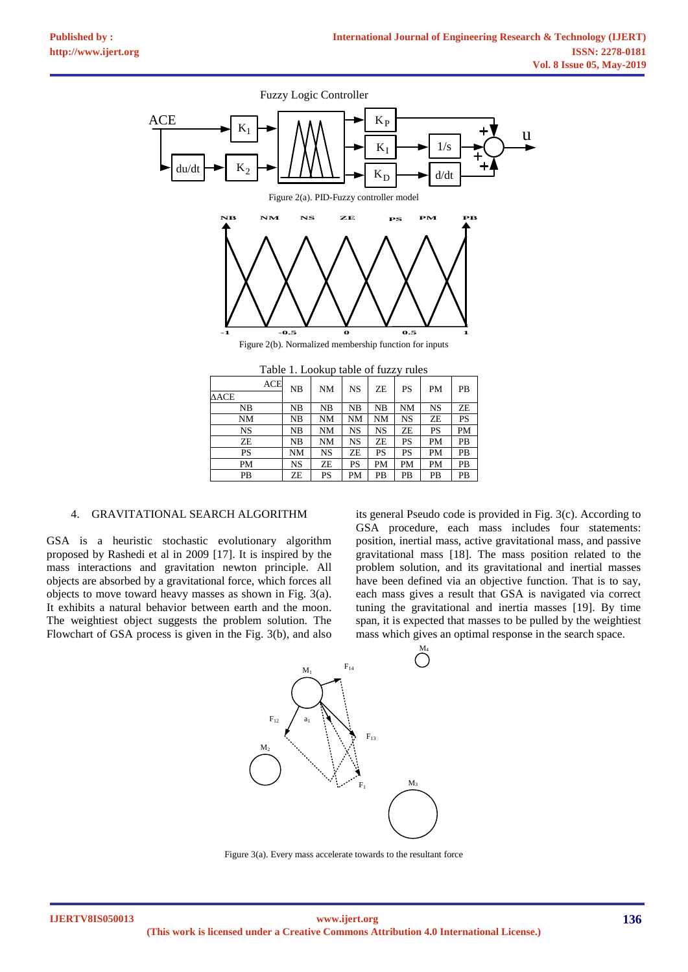

| Table 1. Lookup table of fully fully |    |    |           |           |           |           |           |
|--------------------------------------|----|----|-----------|-----------|-----------|-----------|-----------|
| <b>ACE</b><br>$\Delta {\rm ACE}$     | NB | NM | <b>NS</b> | ZE        | PS        | <b>PM</b> | <b>PB</b> |
| NB                                   | NB | NB | NB        | NB        | <b>NM</b> | <b>NS</b> | ZE        |
|                                      |    |    |           |           |           |           |           |
| NΜ                                   | NB | NM | <b>NM</b> | NM        | <b>NS</b> | ZΕ        | PS        |
| NS                                   | NB | NM | NS        | NS        | ZE        | PS        | PM        |
| ZE                                   | NB | NM | NS        | ZE        | PS        | <b>PM</b> | <b>PB</b> |
| PS                                   | NΜ | NS | ZE        | <b>PS</b> | PS        | <b>PM</b> | PB        |
| PM                                   | NS | ZE | PS        | PM        | PM        | <b>PM</b> | <b>PB</b> |
| PВ                                   | ZE | PS | PM        | PB        | PB        | PB        | PB        |
|                                      |    |    |           |           |           |           |           |

## 4. GRAVITATIONAL SEARCH ALGORITHM

GSA is a heuristic stochastic evolutionary algorithm proposed by Rashedi et al in 2009 [17]. It is inspired by the mass interactions and gravitation [newton](https://www.sciencedirect.com/topics/engineering/newtons-law) principle. All objects are absorbed by a gravitational force, which forces all objects to move toward heavy masses as shown in [Fig. 3\(](https://www.sciencedirect.com/science/article/pii/S209044791830073X#f0065)a). It exhibits a natural behavior between earth and the moon. The weightiest object suggests the problem solution. The [Flowchart](https://www.sciencedirect.com/topics/engineering/flowchart) of GSA process is given in the [Fig.](https://www.sciencedirect.com/science/article/pii/S209044791830073X#f0070) 3(b), and also its general [Pseudo code](https://www.sciencedirect.com/topics/engineering/pseudocode) is provided i[n Fig. 3\(c\).](https://www.sciencedirect.com/science/article/pii/S209044791830073X#f0075) According to GSA procedure, each mass includes four statements: position, inertial mass, active gravitational mass, and passive gravitational mass [18]. The mass position related to the problem solution, and its gravitational and inertial masses have been defined via an objective function. That is to say, each mass gives a result that GSA is navigated via correct tuning the gravitational and inertia masses [19]. By time span, it is expected that masses to be pulled by the weightiest mass which gives an optimal response in the search space.



Figure 3(a). Every mass accelerate towards to the resultant force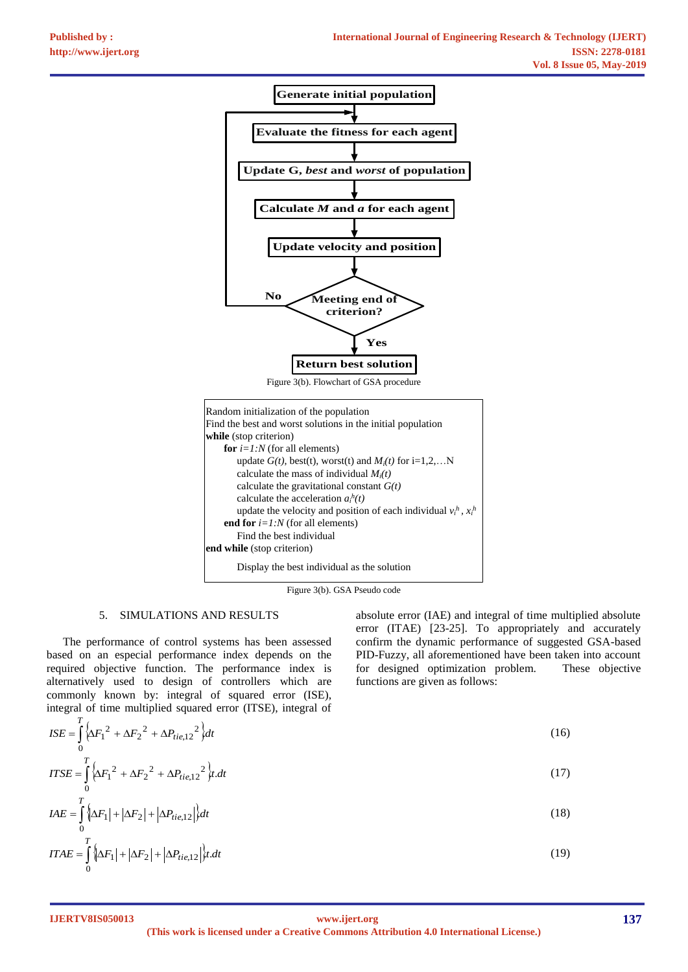



Figure 3(b). GSA Pseudo code

# 5. SIMULATIONS AND RESULTS

The performance of control systems has been assessed based on an especial performance index depends on the required objective function. The performance index is alternatively used to design of controllers which are commonly known by: integral of squared error (ISE), integral of time multiplied squared error (ITSE), integral of

absolute error (IAE) and integral of time multiplied absolute error (ITAE) [23-25]. To appropriately and accurately confirm the dynamic performance of suggested GSA-based PID-Fuzzy, all aforementioned have been taken into account for designed optimization problem. These objective functions are given as follows:

$$
ISE = \int_{0}^{T} \left\{ \Delta F_1^2 + \Delta F_2^2 + \Delta P_{tie,12}^2 \right\} dt
$$
 (16)

$$
ITSE = \int_{0}^{T} \left\{ \Delta F_1^2 + \Delta F_2^2 + \Delta P_{tie,12}^2 \right\} t \, dt \tag{17}
$$

$$
IAE = \int_{0}^{T} \left\{ \Delta F_{1} \right\} + \left| \Delta F_{2} \right| + \left| \Delta P_{tie,12} \right| \right\} dt
$$
\n
$$
ITAE = \int_{0}^{T} \left\{ \Delta F_{1} \right\} + \left| \Delta F_{2} \right| + \left| \Delta P_{tie,12} \right| \right\} t. dt
$$
\n
$$
(19)
$$

**(This work is licensed under a Creative Commons Attribution 4.0 International License.) <www.ijert.org>**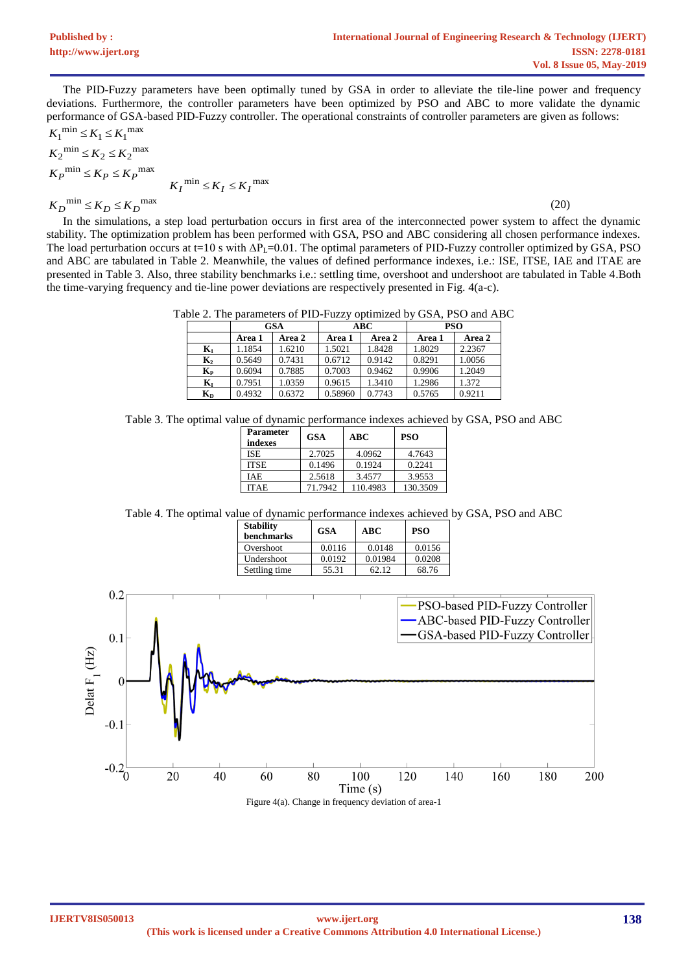The PID-Fuzzy parameters have been optimally tuned by GSA in order to alleviate the tile-line power and frequency deviations. Furthermore, the controller parameters have been optimized by PSO and ABC to more validate the dynamic performance of GSA-based PID-Fuzzy controller. The operational constraints of controller parameters are given as follows:

$$
K_1^{\min} \le K_1 \le K_1^{\max}
$$
  
\n
$$
K_2^{\min} \le K_2 \le K_2^{\max}
$$
  
\n
$$
K_P^{\min} \le K_P \le K_P^{\max}
$$
  
\n
$$
K_I^{\min} \le K_I \le K_I^{\max}
$$

(20)

In the simulations, a step load perturbation occurs in first area of the interconnected power system to affect the dynamic stability. The optimization problem has been performed with GSA, PSO and ABC considering all chosen performance indexes. The load perturbation occurs at t=10 s with  $\Delta P_L$ =0.01. The optimal parameters of PID-Fuzzy controller optimized by GSA, PSO and ABC are tabulated in Table 2. Meanwhile, the values of defined performance indexes, i.e.: ISE, ITSE, IAE and ITAE are presented in Table 3. Also, three stability benchmarks i.e.: settling time, overshoot and undershoot are tabulated in Table 4.Both the time-varying frequency and tie-line power deviations are respectively presented in Fig. 4(a-c).

|  | Table 2. The parameters of PID-Fuzzy optimized by GSA, PSO and ABC |  |  |  |  |
|--|--------------------------------------------------------------------|--|--|--|--|
|  |                                                                    |  |  |  |  |

|                         | <b>GSA</b> |               |         | <b>ABC</b> | <b>PSO</b> |        |
|-------------------------|------------|---------------|---------|------------|------------|--------|
|                         | Area 1     | <b>Area 2</b> | Area 1  | Area 2     | Area 1     | Area 2 |
| $\mathbf{K}_1$          | 1.1854     | 1.6210        | 1.5021  | 1.8428     | 1.8029     | 2.2367 |
| $\mathbf{K}_2$          | 0.5649     | 0.7431        | 0.6712  | 0.9142     | 0.8291     | 1.0056 |
| $K_{\rm P}$             | 0.6094     | 0.7885        | 0.7003  | 0.9462     | 0.9906     | 1.2049 |
| $\mathbf{K}_{\text{I}}$ | 0.7951     | 1.0359        | 0.9615  | 1.3410     | 1.2986     | 1.372  |
| $K_{D}$                 | 0.4932     | 0.6372        | 0.58960 | 0.7743     | 0.5765     | 0.9211 |

Table 3. The optimal value of dynamic performance indexes achieved by GSA, PSO and ABC

| <b>Parameter</b><br>indexes | <b>GSA</b> | ABC      | <b>PSO</b> |
|-----------------------------|------------|----------|------------|
| <b>ISE</b>                  | 2.7025     | 4.0962   | 4.7643     |
| <b>ITSE</b>                 | 0.1496     | 0.1924   | 0.2241     |
| IAE                         | 2.5618     | 3.4577   | 3.9553     |
| ITAE                        | 71.7942    | 110.4983 | 130.3509   |

Table 4. The optimal value of dynamic performance indexes achieved by GSA, PSO and ABC

| <b>Stability</b><br>benchmarks | <b>GSA</b> | ABC     | <b>PSO</b> |  |
|--------------------------------|------------|---------|------------|--|
| Overshoot                      | 0.0116     | 0.0148  | 0.0156     |  |
| Undershoot                     | 0.0192     | 0.01984 | 0.0208     |  |
| Settling time                  | 55.31      | 62.12   | 68.76      |  |



Figure 4(a). Change in frequency deviation of area-1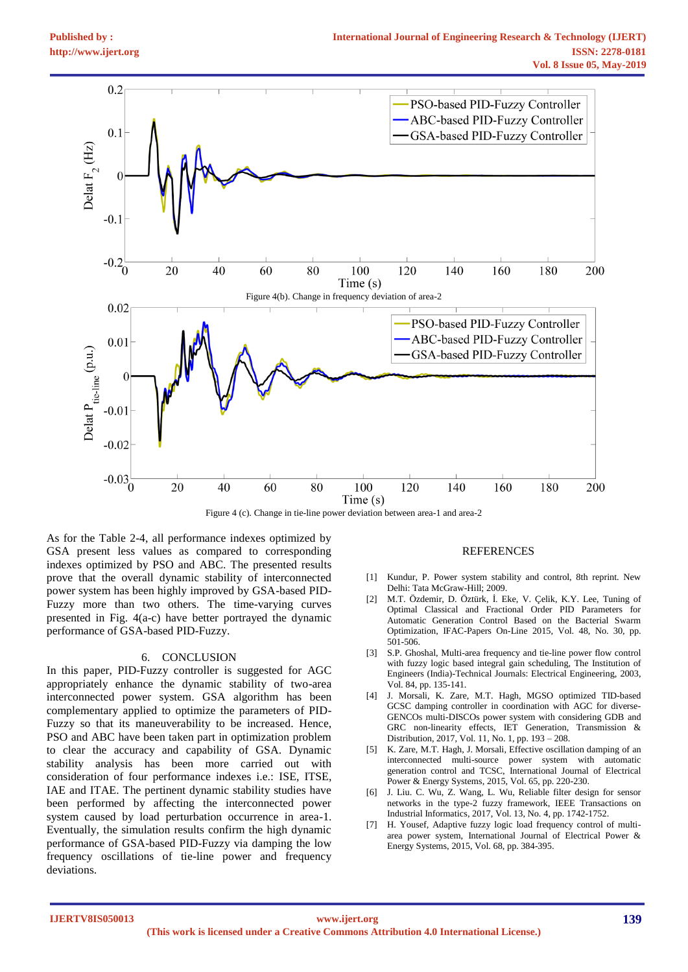

Figure 4 (c). Change in tie-line power deviation between area-1 and area-2

As for the Table 2-4, all performance indexes optimized by GSA present less values as compared to corresponding indexes optimized by PSO and ABC. The presented results prove that the overall dynamic stability of interconnected power system has been highly improved by GSA-based PID-Fuzzy more than two others. The time-varying curves presented in Fig. 4(a-c) have better portrayed the dynamic performance of GSA-based PID-Fuzzy.

#### 6. CONCLUSION

In this paper, PID-Fuzzy controller is suggested for AGC appropriately enhance the dynamic stability of two-area interconnected power system. GSA algorithm has been complementary applied to optimize the parameters of PID-Fuzzy so that its maneuverability to be increased. Hence, PSO and ABC have been taken part in optimization problem to clear the accuracy and capability of GSA. Dynamic stability analysis has been more carried out with consideration of four performance indexes i.e.: ISE, ITSE, IAE and ITAE. The pertinent dynamic stability studies have been performed by affecting the interconnected power system caused by load perturbation occurrence in area-1. Eventually, the simulation results confirm the high dynamic performance of GSA-based PID-Fuzzy via damping the low frequency oscillations of tie-line power and frequency deviations.

### **REFERENCES**

- [1] Kundur, P. Power system stability and control, 8th reprint. New Delhi: Tata McGraw-Hill; 2009.
- [2] M.T. Özdemir, D. Öztürk, İ. Eke, V. Çelik, K.Y. Lee, Tuning of Optimal Classical and Fractional Order PID Parameters for Automatic Generation Control Based on the Bacterial Swarm Optimization, IFAC-Papers On-Line 2015, Vol. 48, No. 30, pp. 501-506.
- [3] S.P. Ghoshal, Multi-area frequency and tie-line power flow control with fuzzy logic based integral gain scheduling, The Institution of Engineers (India)-Technical Journals: Electrical Engineering, 2003, Vol. 84, pp. 135-141.
- [4] J. Morsali, K. Zare, M.T. Hagh, MGSO optimized TID-based GCSC damping controller in coordination with AGC for diverse-GENCOs multi-DISCOs power system with considering GDB and GRC non-linearity effects, IET Generation, Transmission & Distribution, 2017, Vol. 11, No. 1, pp. 193 – 208.
- [5] K. Zare, M.T. Hagh, J. Morsali, Effective oscillation damping of an interconnected multi-source power system with automatic generation control and TCSC, International Journal of Electrical Power & Energy Systems, 2015, Vol. 65, pp. 220-230.
- [6] J. Liu. C. Wu, Z. Wang, L. Wu, Reliable filter design for sensor networks in the type-2 fuzzy framework, IEEE Transactions on Industrial Informatics, 2017, Vol. 13, No. 4, pp. 1742-1752.
- [7] H. Yousef, Adaptive fuzzy logic load frequency control of multiarea power system, International Journal of Electrical Power & Energy Systems, 2015, Vol. 68, pp. 384-395.